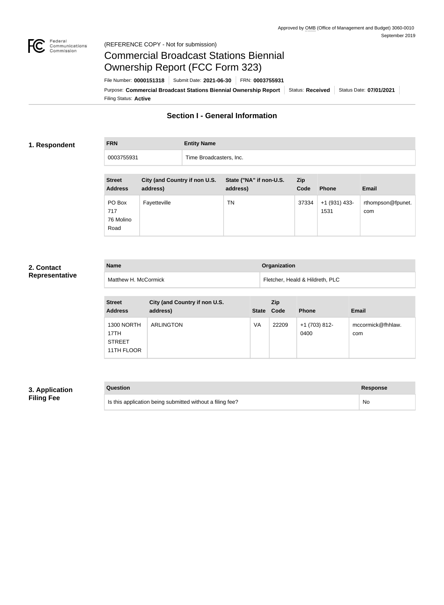

#### Federal<br>Communications<br>Commission (REFERENCE COPY - Not for submission)

# Commercial Broadcast Stations Biennial Ownership Report (FCC Form 323)

Filing Status: **Active** Purpose: Commercial Broadcast Stations Biennial Ownership Report Status: Received Status Date: 07/01/2021 File Number: **0000151318** Submit Date: **2021-06-30** FRN: **0003755931**

### **Section I - General Information**

#### **1. Respondent**

**FRN Entity Name** 0003755931 Time Broadcasters, Inc.

| <b>Street</b><br><b>Address</b>    | City (and Country if non U.S.<br>address) | State ("NA" if non-U.S.<br>address) | <b>Zip</b><br>Code | <b>Phone</b>            | <b>Email</b>             |
|------------------------------------|-------------------------------------------|-------------------------------------|--------------------|-------------------------|--------------------------|
| PO Box<br>717<br>76 Molino<br>Road | Fayetteville                              | TN                                  | 37334              | $+1$ (931) 433-<br>1531 | rthompson@fpunet.<br>com |

#### **2. Contact Representative**

| <b>Name</b>          | <b>Organization</b>             |
|----------------------|---------------------------------|
| Matthew H. McCormick | Fletcher, Heald & Hildreth, PLC |

| <b>Street</b><br><b>Address</b>                          | City (and Country if non U.S.<br>address) | <b>State</b> | Zip<br>Code | <b>Phone</b>          | <b>Email</b>             |
|----------------------------------------------------------|-------------------------------------------|--------------|-------------|-----------------------|--------------------------|
| <b>1300 NORTH</b><br>17TH<br><b>STREET</b><br>11TH FLOOR | <b>ARLINGTON</b>                          | VA           | 22209       | +1 (703) 812-<br>0400 | mccormick@fhhlaw.<br>com |

#### **3. Application Filing Fee**

| Question                                                  | <b>Response</b> |
|-----------------------------------------------------------|-----------------|
| Is this application being submitted without a filing fee? | No              |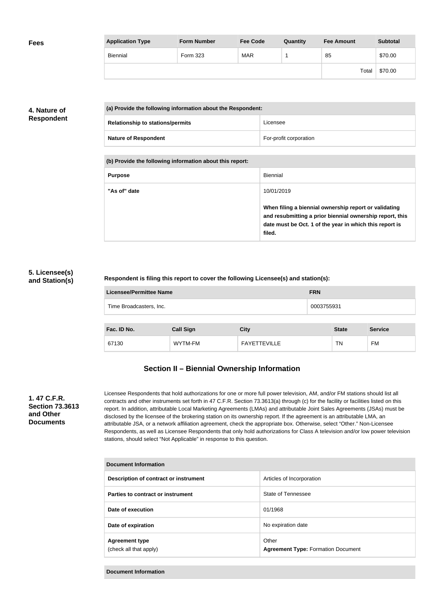| <b>Fees</b> | <b>Application Type</b> | <b>Form Number</b> | <b>Fee Code</b> | Quantity | <b>Fee Amount</b> | <b>Subtotal</b> |
|-------------|-------------------------|--------------------|-----------------|----------|-------------------|-----------------|
|             | Biennial                | Form 323           | <b>MAR</b>      |          | 85                | \$70.00         |
|             |                         |                    |                 |          | Total             | \$70.00         |

### **4. Nature of Respondent**

| (a) Provide the following information about the Respondent: |                                         |                        |
|-------------------------------------------------------------|-----------------------------------------|------------------------|
|                                                             | <b>Relationship to stations/permits</b> | Licensee               |
|                                                             | <b>Nature of Respondent</b>             | For-profit corporation |

**(b) Provide the following information about this report:**

| <b>Purpose</b> | <b>Biennial</b>                                                                                                                                                                        |
|----------------|----------------------------------------------------------------------------------------------------------------------------------------------------------------------------------------|
| "As of" date   | 10/01/2019                                                                                                                                                                             |
|                | When filing a biennial ownership report or validating<br>and resubmitting a prior biennial ownership report, this<br>date must be Oct. 1 of the year in which this report is<br>filed. |

#### **5. Licensee(s) and Station(s)**

#### **Respondent is filing this report to cover the following Licensee(s) and station(s):**

| Licensee/Permittee Name | <b>FRN</b> |
|-------------------------|------------|
| Time Broadcasters, Inc. | 0003755931 |
|                         |            |

| Fac. ID No. | <b>Call Sign</b> | City                | <b>State</b> | <b>Service</b> |
|-------------|------------------|---------------------|--------------|----------------|
| 67130       | WYTM-FM          | <b>FAYETTEVILLE</b> | TN           | FM             |

### **Section II – Biennial Ownership Information**

#### **1. 47 C.F.R. Section 73.3613 and Other Documents**

Licensee Respondents that hold authorizations for one or more full power television, AM, and/or FM stations should list all contracts and other instruments set forth in 47 C.F.R. Section 73.3613(a) through (c) for the facility or facilities listed on this report. In addition, attributable Local Marketing Agreements (LMAs) and attributable Joint Sales Agreements (JSAs) must be disclosed by the licensee of the brokering station on its ownership report. If the agreement is an attributable LMA, an attributable JSA, or a network affiliation agreement, check the appropriate box. Otherwise, select "Other." Non-Licensee Respondents, as well as Licensee Respondents that only hold authorizations for Class A television and/or low power television stations, should select "Not Applicable" in response to this question.

| Document Information                            |                                                    |  |
|-------------------------------------------------|----------------------------------------------------|--|
| Description of contract or instrument           | Articles of Incorporation                          |  |
| Parties to contract or instrument               | State of Tennessee                                 |  |
| Date of execution                               | 01/1968                                            |  |
| Date of expiration                              | No expiration date                                 |  |
| <b>Agreement type</b><br>(check all that apply) | Other<br><b>Agreement Type: Formation Document</b> |  |

**Document Information**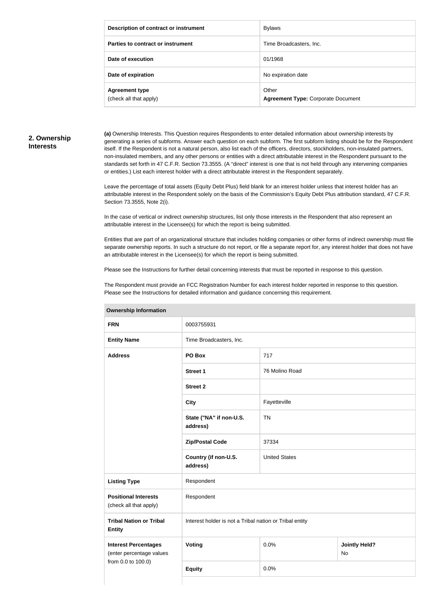| Description of contract or instrument           | <b>Bylaws</b>                                      |
|-------------------------------------------------|----------------------------------------------------|
| Parties to contract or instrument               | Time Broadcasters, Inc.                            |
| Date of execution                               | 01/1968                                            |
| Date of expiration                              | No expiration date                                 |
| <b>Agreement type</b><br>(check all that apply) | Other<br><b>Agreement Type: Corporate Document</b> |

#### **2. Ownership Interests**

**(a)** Ownership Interests. This Question requires Respondents to enter detailed information about ownership interests by generating a series of subforms. Answer each question on each subform. The first subform listing should be for the Respondent itself. If the Respondent is not a natural person, also list each of the officers, directors, stockholders, non-insulated partners, non-insulated members, and any other persons or entities with a direct attributable interest in the Respondent pursuant to the standards set forth in 47 C.F.R. Section 73.3555. (A "direct" interest is one that is not held through any intervening companies or entities.) List each interest holder with a direct attributable interest in the Respondent separately.

Leave the percentage of total assets (Equity Debt Plus) field blank for an interest holder unless that interest holder has an attributable interest in the Respondent solely on the basis of the Commission's Equity Debt Plus attribution standard, 47 C.F.R. Section 73.3555, Note 2(i).

In the case of vertical or indirect ownership structures, list only those interests in the Respondent that also represent an attributable interest in the Licensee(s) for which the report is being submitted.

Entities that are part of an organizational structure that includes holding companies or other forms of indirect ownership must file separate ownership reports. In such a structure do not report, or file a separate report for, any interest holder that does not have an attributable interest in the Licensee(s) for which the report is being submitted.

Please see the Instructions for further detail concerning interests that must be reported in response to this question.

The Respondent must provide an FCC Registration Number for each interest holder reported in response to this question. Please see the Instructions for detailed information and guidance concerning this requirement.

| ווטוואווויטווון קוווטוטווטו                             |                                                         |                      |                            |  |
|---------------------------------------------------------|---------------------------------------------------------|----------------------|----------------------------|--|
| <b>FRN</b>                                              | 0003755931                                              |                      |                            |  |
| <b>Entity Name</b>                                      | Time Broadcasters, Inc.                                 |                      |                            |  |
| <b>Address</b>                                          | PO Box                                                  | 717                  |                            |  |
|                                                         | <b>Street 1</b>                                         | 76 Molino Road       |                            |  |
|                                                         | <b>Street 2</b>                                         |                      |                            |  |
|                                                         | <b>City</b>                                             | Fayetteville         |                            |  |
|                                                         | State ("NA" if non-U.S.<br>address)                     | <b>TN</b>            |                            |  |
|                                                         | <b>Zip/Postal Code</b>                                  | 37334                |                            |  |
|                                                         | Country (if non-U.S.<br>address)                        | <b>United States</b> |                            |  |
| <b>Listing Type</b>                                     | Respondent                                              |                      |                            |  |
| <b>Positional Interests</b><br>(check all that apply)   | Respondent                                              |                      |                            |  |
| <b>Tribal Nation or Tribal</b><br><b>Entity</b>         | Interest holder is not a Tribal nation or Tribal entity |                      |                            |  |
| <b>Interest Percentages</b><br>(enter percentage values | <b>Voting</b>                                           | 0.0%                 | <b>Jointly Held?</b><br>No |  |
| from 0.0 to 100.0)                                      | <b>Equity</b>                                           | 0.0%                 |                            |  |
|                                                         |                                                         |                      |                            |  |

**Ownership Information**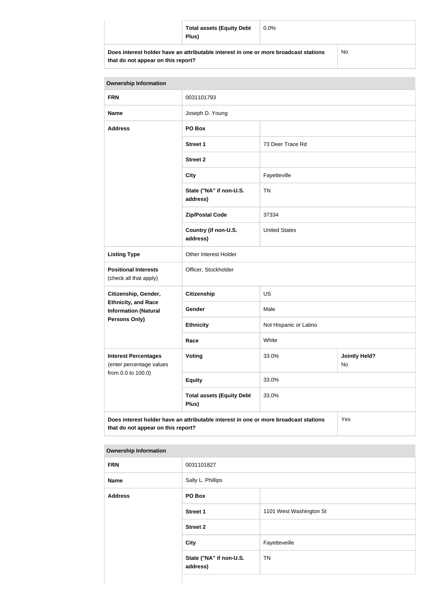|                                                                                      | <b>Total assets (Equity Debt</b><br>Plus) | $0.0\%$ |     |
|--------------------------------------------------------------------------------------|-------------------------------------------|---------|-----|
| Does interest holder have an attributable interest in one or more broadcast stations |                                           |         | No. |

| that do not appear on this report? |  |  |
|------------------------------------|--|--|
|------------------------------------|--|--|

No

| <b>Ownership Information</b>                              |                                                                                      |                                     |     |  |
|-----------------------------------------------------------|--------------------------------------------------------------------------------------|-------------------------------------|-----|--|
| <b>FRN</b>                                                | 0031101793                                                                           |                                     |     |  |
| <b>Name</b>                                               | Joseph D. Young                                                                      |                                     |     |  |
| <b>Address</b>                                            | PO Box                                                                               |                                     |     |  |
|                                                           | <b>Street 1</b>                                                                      | 73 Deer Trace Rd                    |     |  |
|                                                           | <b>Street 2</b>                                                                      |                                     |     |  |
|                                                           | <b>City</b>                                                                          | Fayetteville                        |     |  |
|                                                           | State ("NA" if non-U.S.<br>address)                                                  | <b>TN</b>                           |     |  |
|                                                           | <b>Zip/Postal Code</b>                                                               | 37334                               |     |  |
|                                                           | Country (if non-U.S.<br>address)                                                     | <b>United States</b>                |     |  |
| <b>Listing Type</b>                                       | Other Interest Holder                                                                |                                     |     |  |
| <b>Positional Interests</b><br>(check all that apply)     | Officer, Stockholder                                                                 |                                     |     |  |
| Citizenship, Gender,                                      | <b>Citizenship</b>                                                                   | <b>US</b>                           |     |  |
| <b>Ethnicity, and Race</b><br><b>Information (Natural</b> | Gender                                                                               | Male                                |     |  |
| <b>Persons Only)</b>                                      | <b>Ethnicity</b>                                                                     | Not Hispanic or Latino              |     |  |
|                                                           | Race                                                                                 | White                               |     |  |
| <b>Interest Percentages</b><br>(enter percentage values   | Voting                                                                               | 33.0%<br><b>Jointly Held?</b><br>No |     |  |
| from 0.0 to 100.0)                                        | <b>Equity</b>                                                                        | 33.0%                               |     |  |
|                                                           | <b>Total assets (Equity Debt</b><br>Plus)                                            | 33.0%                               |     |  |
| that do not appear on this report?                        | Does interest holder have an attributable interest in one or more broadcast stations |                                     | Yes |  |

| <b>Ownership Information</b> |  |
|------------------------------|--|
|------------------------------|--|

| <b>FRN</b>     | 0031101827                          |                         |  |
|----------------|-------------------------------------|-------------------------|--|
| Name           | Sally L. Phillips                   |                         |  |
| <b>Address</b> | PO Box                              |                         |  |
|                | Street 1                            | 1101 West Washington St |  |
|                | <b>Street 2</b>                     |                         |  |
|                | <b>City</b>                         | Fayetteveille           |  |
|                | State ("NA" if non-U.S.<br>address) | <b>TN</b>               |  |
|                |                                     |                         |  |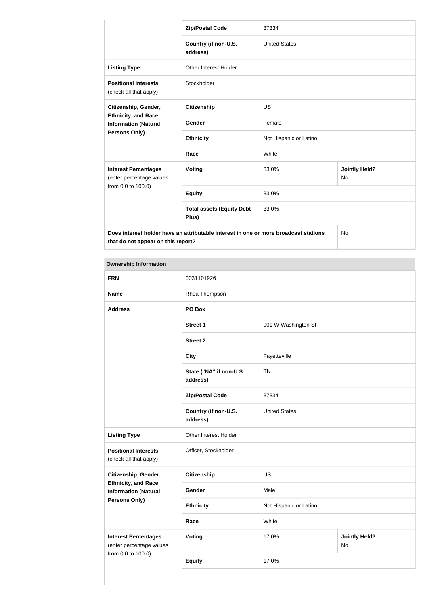|                                                                                   | <b>Zip/Postal Code</b>                                                               | 37334                  |                            |  |
|-----------------------------------------------------------------------------------|--------------------------------------------------------------------------------------|------------------------|----------------------------|--|
|                                                                                   | Country (if non-U.S.<br>address)                                                     | <b>United States</b>   |                            |  |
| <b>Listing Type</b>                                                               | <b>Other Interest Holder</b>                                                         |                        |                            |  |
| <b>Positional Interests</b><br>(check all that apply)                             | Stockholder                                                                          |                        |                            |  |
| Citizenship, Gender,<br><b>Ethnicity, and Race</b><br><b>Information (Natural</b> | <b>Citizenship</b>                                                                   | <b>US</b>              |                            |  |
|                                                                                   | Gender                                                                               | Female                 |                            |  |
| Persons Only)                                                                     | <b>Ethnicity</b>                                                                     | Not Hispanic or Latino |                            |  |
|                                                                                   | Race                                                                                 | White                  |                            |  |
| <b>Interest Percentages</b><br>(enter percentage values                           | Voting                                                                               | 33.0%                  | <b>Jointly Held?</b><br>No |  |
| from 0.0 to 100.0)                                                                | <b>Equity</b>                                                                        | 33.0%                  |                            |  |
|                                                                                   | <b>Total assets (Equity Debt</b><br>Plus)                                            | 33.0%                  |                            |  |
| that do not appear on this report?                                                | Does interest holder have an attributable interest in one or more broadcast stations |                        | <b>No</b>                  |  |

| <b>Ownership Information</b>                                                  |                                     |                        |                            |
|-------------------------------------------------------------------------------|-------------------------------------|------------------------|----------------------------|
| <b>FRN</b>                                                                    | 0031101926                          |                        |                            |
| <b>Name</b>                                                                   | Rhea Thompson                       |                        |                            |
| <b>Address</b>                                                                | PO Box                              |                        |                            |
|                                                                               | <b>Street 1</b>                     | 901 W Washington St    |                            |
|                                                                               | <b>Street 2</b>                     |                        |                            |
|                                                                               | <b>City</b>                         | Fayetteville           |                            |
|                                                                               | State ("NA" if non-U.S.<br>address) | <b>TN</b>              |                            |
|                                                                               | <b>Zip/Postal Code</b>              | 37334                  |                            |
|                                                                               | Country (if non-U.S.<br>address)    | <b>United States</b>   |                            |
| <b>Listing Type</b>                                                           | Other Interest Holder               |                        |                            |
| <b>Positional Interests</b><br>(check all that apply)                         | Officer, Stockholder                |                        |                            |
| Citizenship, Gender,                                                          | <b>Citizenship</b>                  | <b>US</b>              |                            |
| <b>Ethnicity, and Race</b><br><b>Information (Natural</b>                     | Gender                              | Male                   |                            |
| <b>Persons Only)</b>                                                          | <b>Ethnicity</b>                    | Not Hispanic or Latino |                            |
|                                                                               | Race                                | White                  |                            |
| <b>Interest Percentages</b><br>(enter percentage values<br>from 0.0 to 100.0) | <b>Voting</b>                       | 17.0%                  | <b>Jointly Held?</b><br>No |
|                                                                               | <b>Equity</b>                       | 17.0%                  |                            |
|                                                                               |                                     |                        |                            |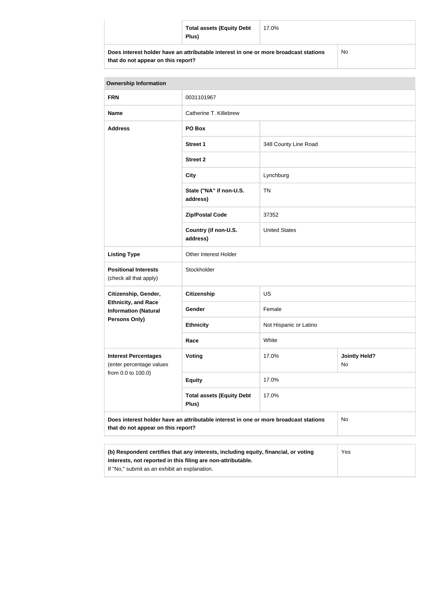| <b>Total assets (Equity Debt</b><br>Plus)                                            | 17.0% |           |
|--------------------------------------------------------------------------------------|-------|-----------|
| Does interest holder have an attributable interest in one or more broadcast stations |       | <b>No</b> |

| <b>Ownership Information</b>                                                                                                                               |                                           |                        |                            |  |
|------------------------------------------------------------------------------------------------------------------------------------------------------------|-------------------------------------------|------------------------|----------------------------|--|
| <b>FRN</b>                                                                                                                                                 | 0031101967                                |                        |                            |  |
| <b>Name</b>                                                                                                                                                | Catherine T. Killebrew                    |                        |                            |  |
| <b>Address</b>                                                                                                                                             | PO Box                                    |                        |                            |  |
|                                                                                                                                                            | <b>Street 1</b>                           | 348 County Line Road   |                            |  |
|                                                                                                                                                            | <b>Street 2</b>                           |                        |                            |  |
|                                                                                                                                                            | <b>City</b>                               | Lynchburg              |                            |  |
|                                                                                                                                                            | State ("NA" if non-U.S.<br>address)       | <b>TN</b>              |                            |  |
|                                                                                                                                                            | <b>Zip/Postal Code</b>                    | 37352                  |                            |  |
|                                                                                                                                                            | Country (if non-U.S.<br>address)          | <b>United States</b>   |                            |  |
| <b>Listing Type</b>                                                                                                                                        | Other Interest Holder                     |                        |                            |  |
| <b>Positional Interests</b><br>(check all that apply)                                                                                                      | Stockholder                               |                        |                            |  |
| Citizenship, Gender,                                                                                                                                       | <b>Citizenship</b>                        | US                     |                            |  |
| <b>Ethnicity, and Race</b><br><b>Information (Natural</b>                                                                                                  | <b>Gender</b>                             | Female                 |                            |  |
| <b>Persons Only)</b>                                                                                                                                       | <b>Ethnicity</b>                          | Not Hispanic or Latino |                            |  |
|                                                                                                                                                            | Race                                      | White                  |                            |  |
| <b>Interest Percentages</b><br>(enter percentage values                                                                                                    | Voting                                    | 17.0%                  | <b>Jointly Held?</b><br>No |  |
| from 0.0 to 100.0)                                                                                                                                         | <b>Equity</b>                             | 17.0%                  |                            |  |
|                                                                                                                                                            | <b>Total assets (Equity Debt</b><br>Plus) | 17.0%                  |                            |  |
| Does interest holder have an attributable interest in one or more broadcast stations<br>No<br>that do not appear on this report?                           |                                           |                        |                            |  |
|                                                                                                                                                            |                                           |                        |                            |  |
| (b) Respondent certifies that any interests, including equity, financial, or voting<br>Yes<br>interests, not reported in this filing are non-attributable. |                                           |                        |                            |  |

If "No," submit as an exhibit an explanation.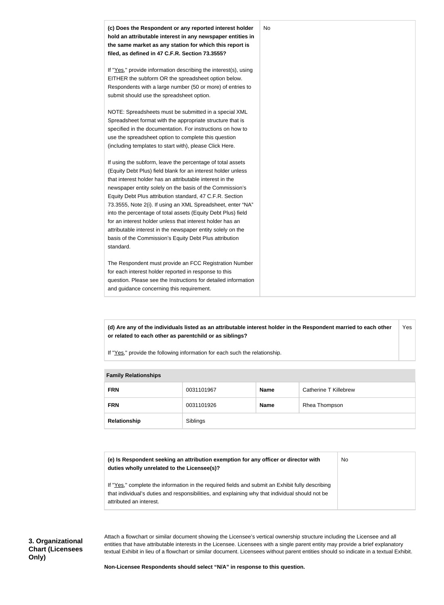

**(d) Are any of the individuals listed as an attributable interest holder in the Respondent married to each other or related to each other as parentchild or as siblings?** Yes

If "Yes," provide the following information for each such the relationship.

| <b>Fallilly INGIQUUISHIPS</b> |            |             |                       |
|-------------------------------|------------|-------------|-----------------------|
| <b>FRN</b>                    | 0031101967 | <b>Name</b> | Catherine T Killebrew |
| <b>FRN</b>                    | 0031101926 | <b>Name</b> | Rhea Thompson         |
| Relationship                  | Siblings   |             |                       |

#### **Family Relationships**

| (e) Is Respondent seeking an attribution exemption for any officer or director with<br>duties wholly unrelated to the Licensee(s)?                                                                                             | No |
|--------------------------------------------------------------------------------------------------------------------------------------------------------------------------------------------------------------------------------|----|
| If "Yes," complete the information in the required fields and submit an Exhibit fully describing<br>that individual's duties and responsibilities, and explaining why that individual should not be<br>attributed an interest. |    |

Attach a flowchart or similar document showing the Licensee's vertical ownership structure including the Licensee and all entities that have attributable interests in the Licensee. Licensees with a single parent entity may provide a brief explanatory textual Exhibit in lieu of a flowchart or similar document. Licensees without parent entities should so indicate in a textual Exhibit.

**Non-Licensee Respondents should select "N/A" in response to this question.**